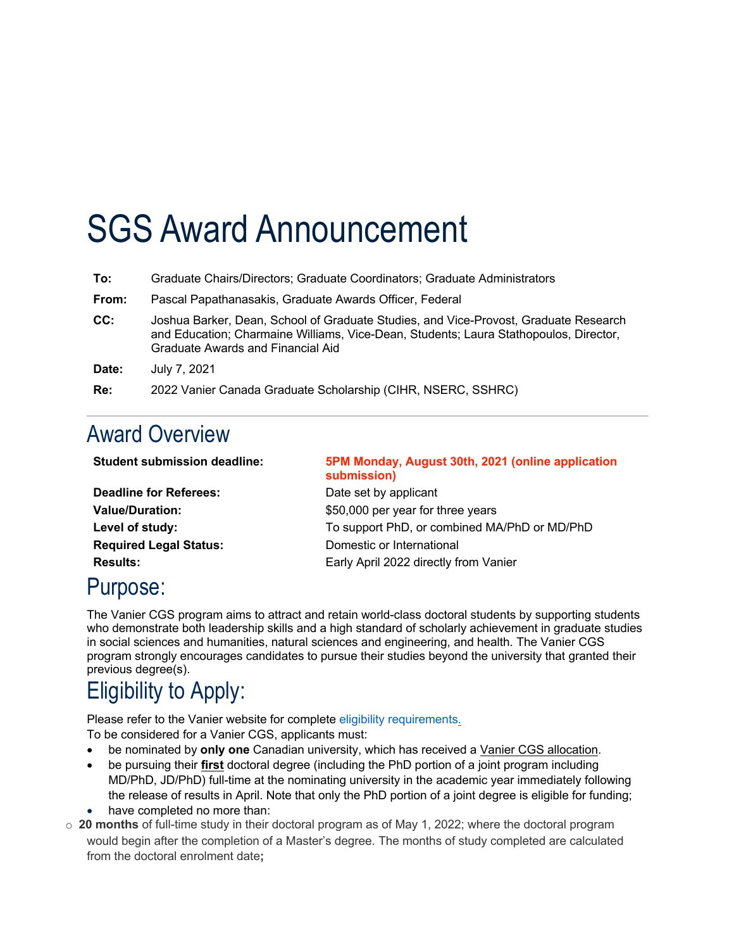# SGS Award Announcement

| To:   | Graduate Chairs/Directors; Graduate Coordinators; Graduate Administrators                                                                                                                                          |
|-------|--------------------------------------------------------------------------------------------------------------------------------------------------------------------------------------------------------------------|
| From: | Pascal Papathanasakis, Graduate Awards Officer, Federal                                                                                                                                                            |
| CC:   | Joshua Barker, Dean, School of Graduate Studies, and Vice-Provost, Graduate Research<br>and Education; Charmaine Williams, Vice-Dean, Students; Laura Stathopoulos, Director,<br>Graduate Awards and Financial Aid |
| Date: | July 7, 2021                                                                                                                                                                                                       |
| Re:   | 2022 Vanier Canada Graduate Scholarship (CIHR, NSERC, SSHRC)                                                                                                                                                       |

#### Award Overview

| <b>Student submission deadline:</b> | 5PM Monday, August 30th, 2021 (online application<br>submission) |
|-------------------------------------|------------------------------------------------------------------|
| <b>Deadline for Referees:</b>       | Date set by applicant                                            |
| <b>Value/Duration:</b>              | \$50,000 per year for three years                                |
| Level of study:                     | To support PhD, or combined MA/PhD or MD/PhD                     |
| <b>Required Legal Status:</b>       | Domestic or International                                        |
| <b>Results:</b>                     | Early April 2022 directly from Vanier                            |

### Purpose:

The Vanier CGS program aims to attract and retain world-class doctoral students by supporting students who demonstrate both leadership skills and a high standard of scholarly achievement in graduate studies in social sciences and humanities, natural sciences and engineering, and health. The Vanier CGS program strongly encourages candidates to pursue their studies beyond the university that granted their previous degree(s).

## Eligibility to Apply:

Please refer to the Vanier website for complete eligibility requirements. To be considered for a Vanier CGS, applicants must:

- be nominated by **only one** Canadian university, which has received a Vanier CGS allocation.
- be pursuing their **first** doctoral degree (including the PhD portion of a joint program including MD/PhD, JD/PhD) full-time at the nominating university in the academic year immediately following the release of results in April. Note that only the PhD portion of a joint degree is eligible for funding;
- have completed no more than:
- o **20 months** of full-time study in their doctoral program as of May 1, 2022; where the doctoral program would begin after the completion of a Master's degree. The months of study completed are calculated from the doctoral enrolment date**;**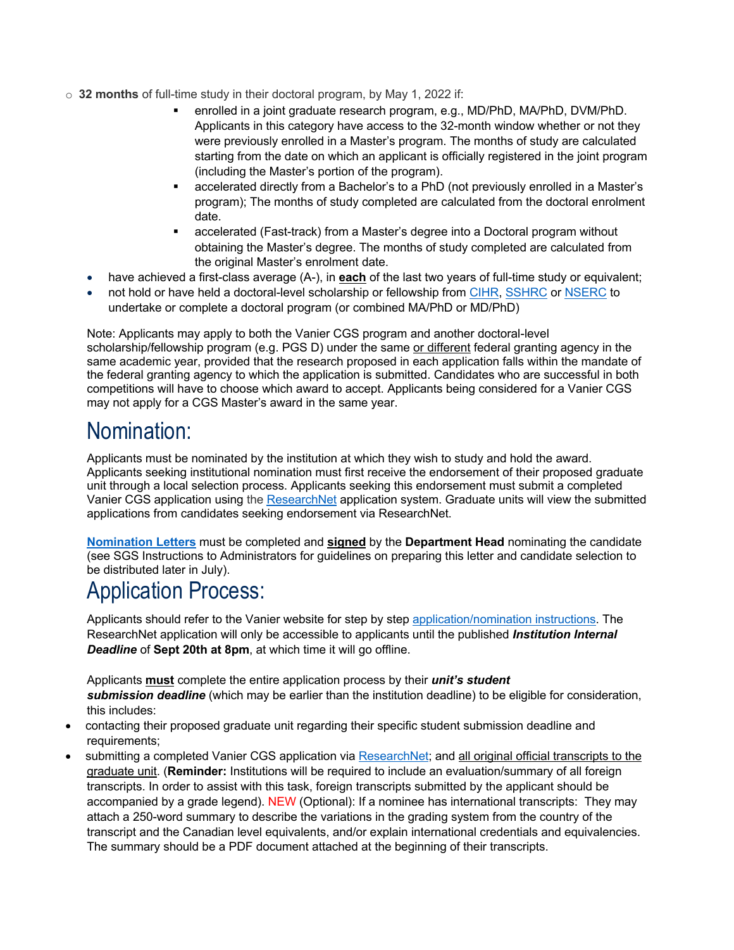- o **32 months** of full-time study in their doctoral program, by May 1, 2022 if:
	- § enrolled in a joint graduate research program, e.g., MD/PhD, MA/PhD, DVM/PhD. Applicants in this category have access to the 32-month window whether or not they were previously enrolled in a Master's program. The months of study are calculated starting from the date on which an applicant is officially registered in the joint program (including the Master's portion of the program).
	- § accelerated directly from a Bachelor's to a PhD (not previously enrolled in a Master's program); The months of study completed are calculated from the doctoral enrolment date.
	- accelerated (Fast-track) from a Master's degree into a Doctoral program without obtaining the Master's degree. The months of study completed are calculated from the original Master's enrolment date.
	- have achieved a first-class average (A-), in **each** of the last two years of full-time study or equivalent;
	- not hold or have held a doctoral-level scholarship or fellowship from CIHR, SSHRC or NSERC to undertake or complete a doctoral program (or combined MA/PhD or MD/PhD)

Note: Applicants may apply to both the Vanier CGS program and another doctoral-level scholarship/fellowship program (e.g. PGS D) under the same or different federal granting agency in the same academic year, provided that the research proposed in each application falls within the mandate of the federal granting agency to which the application is submitted. Candidates who are successful in both competitions will have to choose which award to accept. Applicants being considered for a Vanier CGS may not apply for a CGS Master's award in the same year.

#### Nomination:

Applicants must be nominated by the institution at which they wish to study and hold the award. Applicants seeking institutional nomination must first receive the endorsement of their proposed graduate unit through a local selection process. Applicants seeking this endorsement must submit a completed Vanier CGS application using the ResearchNet application system. Graduate units will view the submitted applications from candidates seeking endorsement via ResearchNet.

**Nomination Letters** must be completed and **signed** by the **Department Head** nominating the candidate (see SGS Instructions to Administrators for guidelines on preparing this letter and candidate selection to be distributed later in July).

### Application Process:

Applicants should refer to the Vanier website for step by step application/nomination instructions. The ResearchNet application will only be accessible to applicants until the published *Institution Internal Deadline* of **Sept 20th at 8pm**, at which time it will go offline.

Applicants **must** complete the entire application process by their *unit's student submission deadline* (which may be earlier than the institution deadline) to be eligible for consideration, this includes:

- contacting their proposed graduate unit regarding their specific student submission deadline and requirements:
- submitting a completed Vanier CGS application via ResearchNet; and all original official transcripts to the graduate unit. (**Reminder:** Institutions will be required to include an evaluation/summary of all foreign transcripts. In order to assist with this task, foreign transcripts submitted by the applicant should be accompanied by a grade legend). NEW (Optional): If a nominee has international transcripts: They may attach a 250-word summary to describe the variations in the grading system from the country of the transcript and the Canadian level equivalents, and/or explain international credentials and equivalencies. The summary should be a PDF document attached at the beginning of their transcripts.